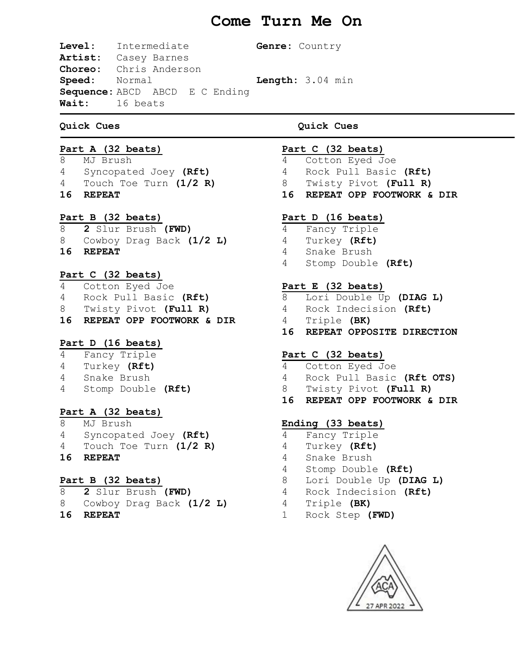# **Come Turn Me On**

**Level:** Intermediate **Genre:** Country **Artist:** Casey Barnes **Choreo:** Chris Anderson **Speed:** Normal **Length:** 3.04 min **Sequence:** ABCD ABCD E C Ending **Wait:** 16 beats

# **Quick Cues Quick Cues**

### **Part A (32 beats)**

8 MJ Brush 4 Syncopated Joey **(Rft)** 4 Touch Toe Turn **(1/2 R) 16 REPEAT** 

# **Part B (32 beats)**

8 **2** Slur Brush **(FWD)** 8 Cowboy Drag Back **(1/2 L) 16 REPEAT**

# **Part C (32 beats)**

4 Cotton Eyed Joe 4 Rock Pull Basic **(Rft)** 8 Twisty Pivot **(Full R) 16 REPEAT OPP FOOTWORK & DIR**

# **Part D (16 beats)**

- 4 Fancy Triple 4 Turkey **(Rft)**
- 4 Snake Brush
- 4 Stomp Double **(Rft)**

# **Part A (32 beats)**

8 MJ Brush 4 Syncopated Joey **(Rft)** 4 Touch Toe Turn **(1/2 R) 16 REPEAT** 

# **Part B (32 beats)**

- 8 **2** Slur Brush **(FWD)**
- 8 Cowboy Drag Back **(1/2 L)**
- **16 REPEAT**

# **Part C (32 beats)**

4 Cotton Eyed Joe 4 Rock Pull Basic **(Rft)** 8 Twisty Pivot **(Full R) 16 REPEAT OPP FOOTWORK & DIR**

# **Part D (16 beats)**

4 Fancy Triple Turkey **(Rft)** Snake Brush Stomp Double **(Rft)**

# **Part E (32 beats)**

 Lori Double Up **(DIAG L)** Rock Indecision **(Rft)** Triple **(BK) 16 REPEAT OPPOSITE DIRECTION**

# **Part C (32 beats)**

- 4 Cotton Eyed Joe 4 Rock Pull Basic **(Rft OTS)**
- 8 Twisty Pivot **(Full R)**
- **16 REPEAT OPP FOOTWORK & DIR**

# **Ending (33 beats)**

- 4 Fancy Triple
- 4 Turkey **(Rft)**
	- 4 Snake Brush
	- 4 Stomp Double **(Rft)**
- 8 Lori Double Up **(DIAG L)**
- 4 Rock Indecision **(Rft)**
- 4 Triple **(BK)**
	- 1 Rock Step **(FWD)**